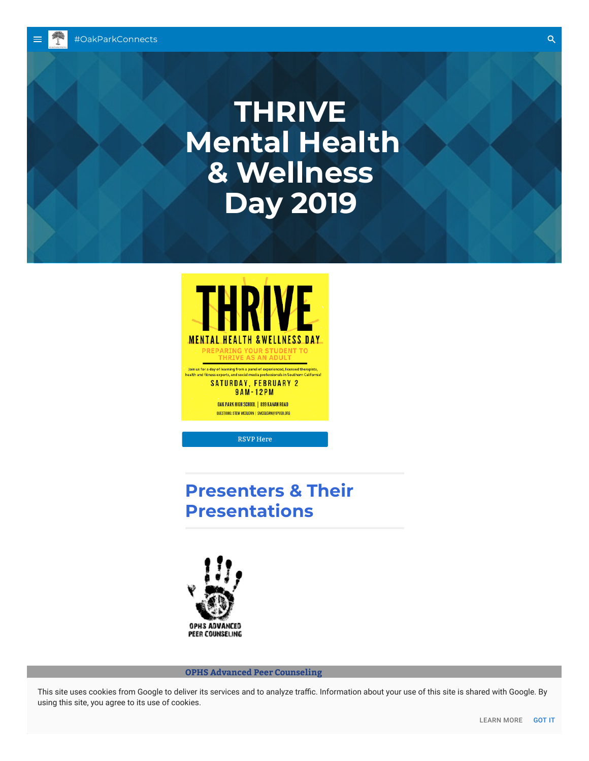# **THRIVE Mental Health & Wellness Day 2019**



RSVP Here

## **Presenters & Their Presentations**



**OPHS Advanced Peer Counseling**

This site uses cookies from Google to deliver its services and to analyze traffic. Information about your use of this site is shared with Google. By using this site, you agree to its use of cookies.